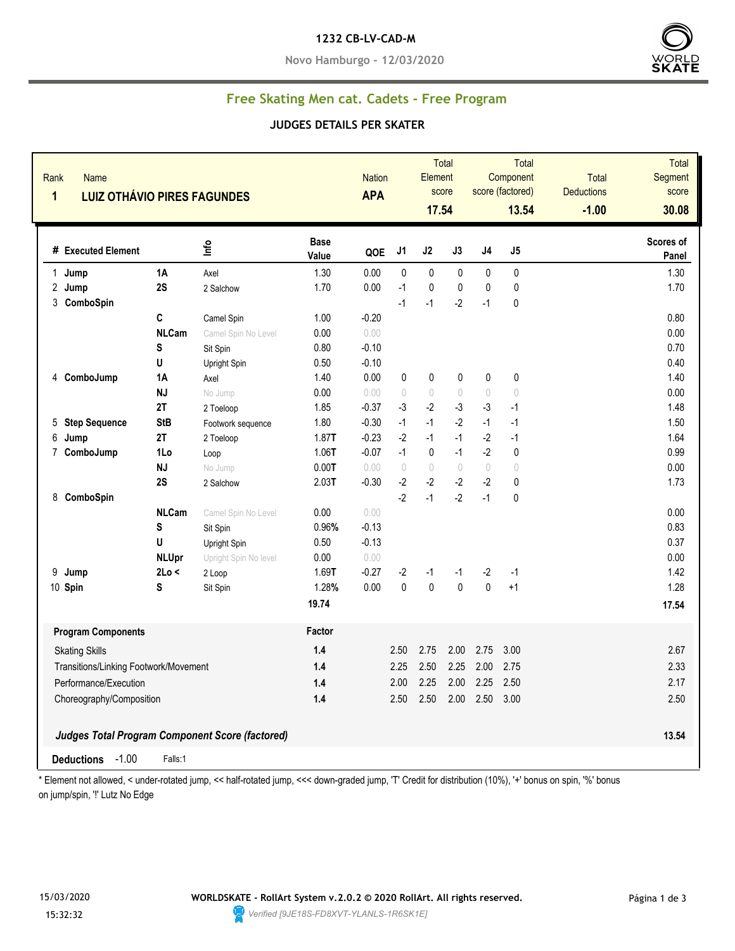### **1232 CB-LV-CAD-M**

**Novo Hamburgo - 12/03/2020**



## **Free Skating Men cat. Cadets - Free Program**

### **JUDGES DETAILS PER SKATER**

| Rank<br><b>Name</b><br>1<br><b>LUIZ OTHÁVIO PIRES FAGUNDES</b> |              |                                                        | <b>Nation</b><br><b>APA</b> |         | Total<br>Element<br>score<br>17.54 |                                  | Total<br>Component<br>score (factored)<br>13.54 |                                  | <b>Total</b><br><b>Deductions</b><br>$-1.00$ | Total<br>Segment<br>score<br>30.08 |                    |
|----------------------------------------------------------------|--------------|--------------------------------------------------------|-----------------------------|---------|------------------------------------|----------------------------------|-------------------------------------------------|----------------------------------|----------------------------------------------|------------------------------------|--------------------|
| # Executed Element                                             |              | Info                                                   | <b>Base</b><br>Value        | QOE     | J <sub>1</sub>                     | J2                               | J3                                              | $\sf J4$                         | $\mathsf{J}5$                                |                                    | Scores of<br>Panel |
| $\mathbf{1}$<br>Jump                                           | 1A           | Axel                                                   | 1.30                        | 0.00    | 0                                  | $\mathbf{0}$                     | $\mathbf{0}$                                    | 0                                | $\mathbf{0}$                                 |                                    | 1.30               |
| 2 Jump                                                         | 2S           | 2 Salchow                                              | 1.70                        | 0.00    | $-1$                               | $\pmb{0}$                        | $\pmb{0}$                                       | $\mathbf{0}$                     | $\pmb{0}$                                    |                                    | 1.70               |
| 3 ComboSpin                                                    |              |                                                        |                             |         | $-1$                               | $-1$                             | $-2$                                            | $-1$                             | $\pmb{0}$                                    |                                    |                    |
|                                                                | C            | Camel Spin                                             | 1.00                        | $-0.20$ |                                    |                                  |                                                 |                                  |                                              |                                    | 0.80               |
|                                                                | <b>NLCam</b> | Camel Spin No Level                                    | 0.00                        | 0.00    |                                    |                                  |                                                 |                                  |                                              |                                    | 0.00               |
|                                                                | S            | Sit Spin                                               | 0.80                        | $-0.10$ |                                    |                                  |                                                 |                                  |                                              |                                    | 0.70               |
|                                                                | U            | Upright Spin                                           | 0.50                        | $-0.10$ |                                    |                                  |                                                 |                                  |                                              |                                    | 0.40               |
| 4 ComboJump                                                    | 1A           | Axel                                                   | 1.40                        | 0.00    | 0                                  | 0                                | 0                                               | 0                                | 0                                            |                                    | 1.40               |
|                                                                | <b>NJ</b>    | No Jump                                                | 0.00                        | 0.00    | $\begin{array}{c} \n\end{array}$   | $\bigcirc$                       | $\begin{array}{c} \n\end{array}$                | $\sqrt{ }$                       | $\bigcirc$                                   |                                    | 0.00               |
|                                                                | 2T           | 2 Toeloop                                              | 1.85                        | $-0.37$ | $-3$                               | $-2$                             | $-3$                                            | $-3$                             | $-1$                                         |                                    | 1.48               |
| <b>Step Sequence</b><br>5                                      | <b>StB</b>   | Footwork sequence                                      | 1.80                        | $-0.30$ | $-1$                               | $-1$                             | $-2$                                            | $-1$                             | $-1$                                         |                                    | 1.50               |
| 6<br>Jump                                                      | 2T           | 2 Toeloop                                              | 1.87T                       | $-0.23$ | $-2$                               | $-1$                             | $-1$                                            | $-2$                             | $-1$                                         |                                    | 1.64               |
| ComboJump<br>7                                                 | 1Lo          | Loop                                                   | 1.06T                       | $-0.07$ | $-1$                               | $\pmb{0}$                        | $-1$                                            | $-2$                             | $\pmb{0}$                                    |                                    | 0.99               |
|                                                                | <b>NJ</b>    | No Jump                                                | 0.00T                       | 0.00    | $\circ$                            | $\begin{array}{c} \n\end{array}$ | $\bigcirc$                                      | $\begin{array}{c} \n\end{array}$ | $\bigcirc$                                   |                                    | 0.00               |
|                                                                | 2S           | 2 Salchow                                              | 2.03T                       | $-0.30$ | $-2$                               | $-2$                             | $-2$                                            | $-2$                             | 0                                            |                                    | 1.73               |
| 8 ComboSpin                                                    |              |                                                        |                             |         | $-2$                               | $-1$                             | $-2$                                            | $-1$                             | $\pmb{0}$                                    |                                    |                    |
|                                                                | <b>NLCam</b> | Camel Spin No Level                                    | 0.00                        | 0.00    |                                    |                                  |                                                 |                                  |                                              |                                    | 0.00               |
|                                                                | S            | Sit Spin                                               | 0.96%                       | $-0.13$ |                                    |                                  |                                                 |                                  |                                              |                                    | 0.83               |
|                                                                | U            | Upright Spin                                           | 0.50                        | $-0.13$ |                                    |                                  |                                                 |                                  |                                              |                                    | 0.37               |
|                                                                | <b>NLUpr</b> | Upright Spin No level                                  | 0.00                        | 0.00    |                                    |                                  |                                                 |                                  |                                              |                                    | 0.00               |
| 9<br>Jump                                                      | 2Lo <        | 2 Loop                                                 | 1.69T                       | $-0.27$ | $-2$                               | $-1$                             | $-1$                                            | $-2$                             | $-1$                                         |                                    | 1.42               |
| 10 Spin                                                        | S            | Sit Spin                                               | 1.28%                       | 0.00    | $\mathbf 0$                        | $\mathbf 0$                      | $\mathbf{0}$                                    | $\mathbf{0}$                     | $+1$                                         |                                    | 1.28               |
|                                                                |              |                                                        | 19.74                       |         |                                    |                                  |                                                 |                                  |                                              |                                    | 17.54              |
| <b>Program Components</b>                                      |              |                                                        | Factor                      |         |                                    |                                  |                                                 |                                  |                                              |                                    |                    |
| <b>Skating Skills</b>                                          |              |                                                        | 1.4                         |         | 2.50                               | 2.75                             | 2.00                                            | 2.75                             | 3.00                                         |                                    | 2.67               |
| Transitions/Linking Footwork/Movement                          |              |                                                        | 1.4                         |         | 2.25                               | 2.50                             | 2.25                                            | 2.00                             | 2.75                                         |                                    | 2.33               |
| Performance/Execution                                          |              |                                                        | 1.4                         |         | 2.00                               | 2.25                             | 2.00                                            | 2.25                             | 2.50                                         |                                    | 2.17               |
| Choreography/Composition                                       |              | 1.4                                                    |                             | 2.50    | 2.50                               | 2.00                             | 2.50                                            | 3.00                             |                                              | 2.50                               |                    |
|                                                                |              |                                                        |                             |         |                                    |                                  |                                                 |                                  |                                              |                                    |                    |
|                                                                |              | <b>Judges Total Program Component Score (factored)</b> |                             |         |                                    |                                  |                                                 |                                  |                                              |                                    | 13.54              |
| $-1.00$<br><b>Deductions</b>                                   | Falls:1      |                                                        |                             |         |                                    |                                  |                                                 |                                  |                                              |                                    |                    |

\* Element not allowed, < under-rotated jump, << half-rotated jump, <<< down-graded jump, 'T' Credit for distribution (10%), '+' bonus on spin, '%' bonus on jump/spin, "!' Lutz No Edge

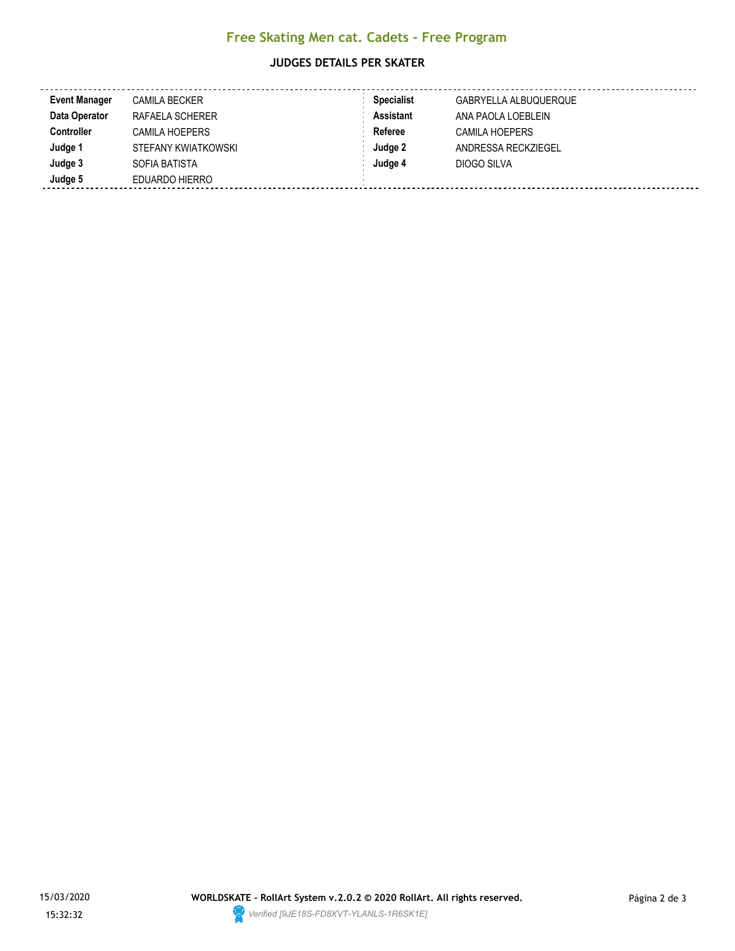# **Free Skating Men cat. Cadets - Free Program**

### **JUDGES DETAILS PER SKATER**

| <b>Event Manager</b> | <b>CAMILA BECKER</b> | <b>Specialist</b> | GABRYELLA ALBUQUERQUE |
|----------------------|----------------------|-------------------|-----------------------|
| Data Operator        | RAFAELA SCHERER      | <b>Assistant</b>  | ANA PAOLA LOEBLEIN    |
| <b>Controller</b>    | CAMILA HOEPERS       | Referee           | <b>CAMILA HOEPERS</b> |
| Judge 1              | STEFANY KWIATKOWSKI  | Judge 2           | ANDRESSA RECKZIEGEL   |
| Judge 3              | SOFIA BATISTA        | Judge 4           | DIOGO SILVA           |
| Judge 5              | EDUARDO HIERRO       |                   |                       |